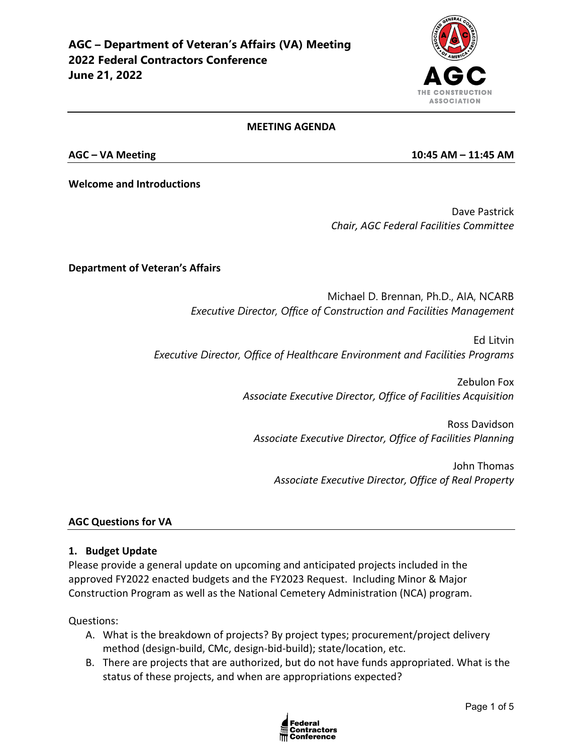

#### **MEETING AGENDA**

**AGC – VA Meeting 10:45 AM – 11:45 AM**

**Welcome and Introductions**

Dave Pastrick *Chair, AGC Federal Facilities Committee*

### **Department of Veteran's Affairs**

Michael D. Brennan, Ph.D., AIA, NCARB *Executive Director, Office of Construction and Facilities Management*

Ed Litvin *Executive Director, Office of Healthcare Environment and Facilities Programs*

> Zebulon Fox *Associate Executive Director, Office of Facilities Acquisition*

Ross Davidson *Associate Executive Director, Office of Facilities Planning* 

John Thomas *Associate Executive Director, Office of Real Property*

### **AGC Questions for VA**

### **1. Budget Update**

Please provide a general update on upcoming and anticipated projects included in the approved FY2022 enacted budgets and the FY2023 Request. Including Minor & Major Construction Program as well as the National Cemetery Administration (NCA) program.

Questions:

- A. What is the breakdown of projects? By project types; procurement/project delivery method (design-build, CMc, design-bid-build); state/location, etc.
- B. There are projects that are authorized, but do not have funds appropriated. What is the status of these projects, and when are appropriations expected?

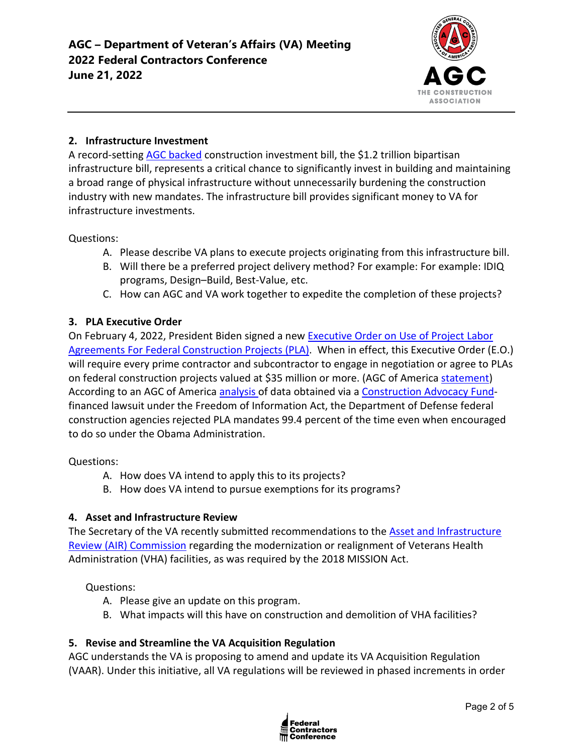

## **2. Infrastructure Investment**

A record-setting [AGC backed](https://www.agc.org/news/2021/11/18/agc-backed-bipartisan-infrastructure-signed-law) construction investment bill, the \$1.2 trillion bipartisan infrastructure bill, represents a critical chance to significantly invest in building and maintaining a broad range of physical infrastructure without unnecessarily burdening the construction industry with new mandates. The infrastructure bill provides significant money to VA for infrastructure investments.

Questions:

- A. Please describe VA plans to execute projects originating from this infrastructure bill.
- B. Will there be a preferred project delivery method? For example: For example: IDIQ programs, Design–Build, Best-Value, etc.
- C. How can AGC and VA work together to expedite the completion of these projects?

# **3. PLA Executive Order**

On February 4, 2022, President Biden signed a new [Executive Order on Use of Project Labor](https://nam12.safelinks.protection.outlook.com/?url=https%3A%2F%2Fwww.whitehouse.gov%2Fbriefing-room%2Fpresidential-actions%2F2022%2F02%2F04%2Fexecutive-order-on-use-of-project-labor-agreements-for-federal-construction-projects%2F&data=04%7C01%7Cjimmy.christianson%40agc.org%7C9a54ffe1775c4b33b2e708d9e8301d61%7C4602d740c1bb4d33b33a435efb6aa1bd%7C0%7C0%7C637796115617974723%7CUnknown%7CTWFpbGZsb3d8eyJWIjoiMC4wLjAwMDAiLCJQIjoiV2luMzIiLCJBTiI6Ik1haWwiLCJXVCI6Mn0%3D%7C3000&sdata=3UwKG%2FHFXcoGKt%2B802izNRlIVSQtUbx7E4yOMXgBSQs%3D&reserved=0)  [Agreements For Federal Construction Projects \(PLA\).](https://nam12.safelinks.protection.outlook.com/?url=https%3A%2F%2Fwww.whitehouse.gov%2Fbriefing-room%2Fpresidential-actions%2F2022%2F02%2F04%2Fexecutive-order-on-use-of-project-labor-agreements-for-federal-construction-projects%2F&data=04%7C01%7Cjimmy.christianson%40agc.org%7C9a54ffe1775c4b33b2e708d9e8301d61%7C4602d740c1bb4d33b33a435efb6aa1bd%7C0%7C0%7C637796115617974723%7CUnknown%7CTWFpbGZsb3d8eyJWIjoiMC4wLjAwMDAiLCJQIjoiV2luMzIiLCJBTiI6Ik1haWwiLCJXVCI6Mn0%3D%7C3000&sdata=3UwKG%2FHFXcoGKt%2B802izNRlIVSQtUbx7E4yOMXgBSQs%3D&reserved=0) When in effect, this Executive Order (E.O.) will require every prime contractor and subcontractor to engage in negotiation or agree to PLAs on federal construction projects valued at \$35 million or more. (AGC of America [statement\)](https://www.agc.org/news/2022/02/04/biden-order-imposing-project-labor-agreements-federal-projects-will-inflate-construction-costs) According to an AGC of America [analysis o](https://www.agc.org/sites/default/files/Files/communications/New_Data_Weighs_on_Debate_Over_Project_Labor_Agreements.pdf)f data obtained via a [Construction Advocacy Fund](https://constructionadvocacyfund.agc.org/?_zs=3Onnc1&_zl=qrBB8)financed lawsuit under the Freedom of Information Act, the Department of Defense federal construction agencies rejected PLA mandates 99.4 percent of the time even when encouraged to do so under the Obama Administration.

Questions:

- A. How does VA intend to apply this to its projects?
- B. How does VA intend to pursue exemptions for its programs?

## **4. Asset and Infrastructure Review**

The Secretary of the VA recently submitted recommendations to the [Asset and Infrastructure](https://www.va.gov/aircommissionreport)  [Review \(AIR\) Commission](https://www.va.gov/aircommissionreport) regarding the modernization or realignment of Veterans Health Administration (VHA) facilities, as was required by the 2018 MISSION Act.

Questions:

- A. Please give an update on this program.
- B. What impacts will this have on construction and demolition of VHA facilities?

## **5. Revise and Streamline the VA Acquisition Regulation**

AGC understands the VA is proposing to amend and update its VA Acquisition Regulation (VAAR). Under this initiative, all VA regulations will be reviewed in phased increments in order

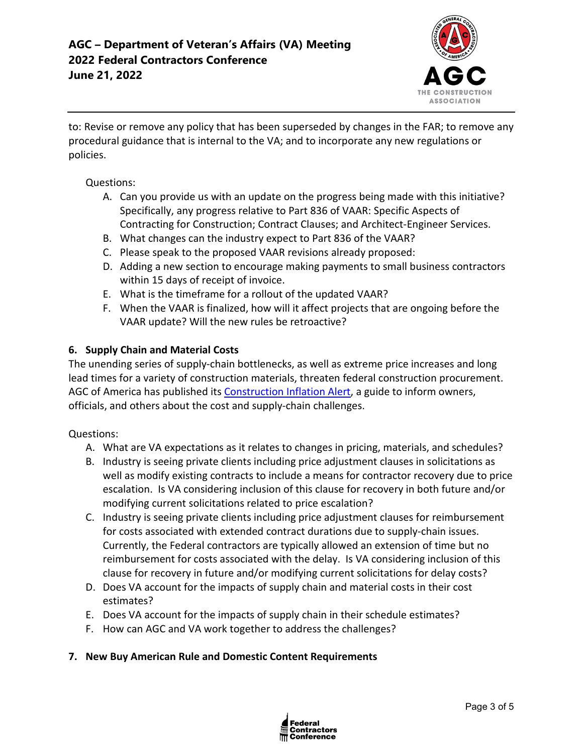

to: Revise or remove any policy that has been superseded by changes in the FAR; to remove any procedural guidance that is internal to the VA; and to incorporate any new regulations or policies.

### Questions:

- A. Can you provide us with an update on the progress being made with this initiative? Specifically, any progress relative to Part 836 of VAAR: Specific Aspects of Contracting for Construction; Contract Clauses; and Architect-Engineer Services.
- B. What changes can the industry expect to Part 836 of the VAAR?
- C. Please speak to the proposed VAAR revisions already proposed:
- D. Adding a new section to encourage making payments to small business contractors within 15 days of receipt of invoice.
- E. What is the timeframe for a rollout of the updated VAAR?
- F. When the VAAR is finalized, how will it affect projects that are ongoing before the VAAR update? Will the new rules be retroactive?

### **6. Supply Chain and Material Costs**

The unending series of supply-chain bottlenecks, as well as extreme price increases and long lead times for a variety of construction materials, threaten federal construction procurement. AGC of America has published its [Construction Inflation Alert,](https://www.agc.org/learn/construction-data/agc-construction-inflation-alert) a guide to inform owners, officials, and others about the cost and supply-chain challenges.

### Questions:

- A. What are VA expectations as it relates to changes in pricing, materials, and schedules?
- B. Industry is seeing private clients including price adjustment clauses in solicitations as well as modify existing contracts to include a means for contractor recovery due to price escalation. Is VA considering inclusion of this clause for recovery in both future and/or modifying current solicitations related to price escalation?
- C. Industry is seeing private clients including price adjustment clauses for reimbursement for costs associated with extended contract durations due to supply-chain issues. Currently, the Federal contractors are typically allowed an extension of time but no reimbursement for costs associated with the delay. Is VA considering inclusion of this clause for recovery in future and/or modifying current solicitations for delay costs?
- D. Does VA account for the impacts of supply chain and material costs in their cost estimates?
- E. Does VA account for the impacts of supply chain in their schedule estimates?
- F. How can AGC and VA work together to address the challenges?

### **7. New Buy American Rule and Domestic Content Requirements**

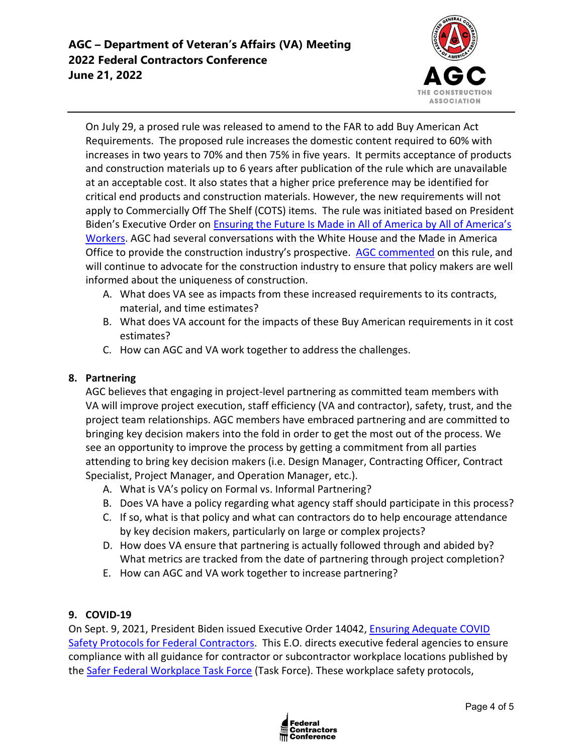

On July 29, a prosed rule was released to amend to the FAR to add Buy American Act Requirements. The proposed rule increases the domestic content required to 60% with increases in two years to 70% and then 75% in five years. It permits acceptance of products and construction materials up to 6 years after publication of the rule which are unavailable at an acceptable cost. It also states that a higher price preference may be identified for critical end products and construction materials. However, the new requirements will not apply to Commercially Off The Shelf (COTS) items. The rule was initiated based on President Biden's Executive Order on [Ensuring the Future Is Made in All of America by All of America's](https://www.whitehouse.gov/briefing-room/presidential-actions/2021/01/25/executive-order-on-ensuring-the-future-is-made-in-all-of-america-by-all-of-americas-workers/)  [Workers.](https://www.whitehouse.gov/briefing-room/presidential-actions/2021/01/25/executive-order-on-ensuring-the-future-is-made-in-all-of-america-by-all-of-americas-workers/) AGC had several conversations with the White House and the Made in America Office to provide the construction industry's prospective. [AGC commented](https://www.regulations.gov/comment/FAR-2021-0008-0008) on this rule, and will continue to advocate for the construction industry to ensure that policy makers are well informed about the uniqueness of construction.

- A. What does VA see as impacts from these increased requirements to its contracts, material, and time estimates?
- B. What does VA account for the impacts of these Buy American requirements in it cost estimates?
- C. How can AGC and VA work together to address the challenges.

## **8. Partnering**

AGC believes that engaging in project-level partnering as committed team members with VA will improve project execution, staff efficiency (VA and contractor), safety, trust, and the project team relationships. AGC members have embraced partnering and are committed to bringing key decision makers into the fold in order to get the most out of the process. We see an opportunity to improve the process by getting a commitment from all parties attending to bring key decision makers (i.e. Design Manager, Contracting Officer, Contract Specialist, Project Manager, and Operation Manager, etc.).

- A. What is VA's policy on Formal vs. Informal Partnering?
- B. Does VA have a policy regarding what agency staff should participate in this process?
- C. If so, what is that policy and what can contractors do to help encourage attendance by key decision makers, particularly on large or complex projects?
- D. How does VA ensure that partnering is actually followed through and abided by? What metrics are tracked from the date of partnering through project completion?
- E. How can AGC and VA work together to increase partnering?

## **9. COVID-19**

On Sept. 9, 2021, President Biden issued Executive Order 14042, [Ensuring Adequate COVID](https://www.whitehouse.gov/briefing-room/presidential-actions/2021/09/09/executive-order-on-ensuring-adequate-covid-safety-protocols-for-federal-contractors/)  [Safety Protocols for Federal Contractors.](https://www.whitehouse.gov/briefing-room/presidential-actions/2021/09/09/executive-order-on-ensuring-adequate-covid-safety-protocols-for-federal-contractors/) This E.O. directs executive federal agencies to ensure compliance with all guidance for contractor or subcontractor workplace locations published by the [Safer Federal Workplace Task Force](https://www.saferfederalworkforce.gov/new/) (Task Force). These workplace safety protocols,